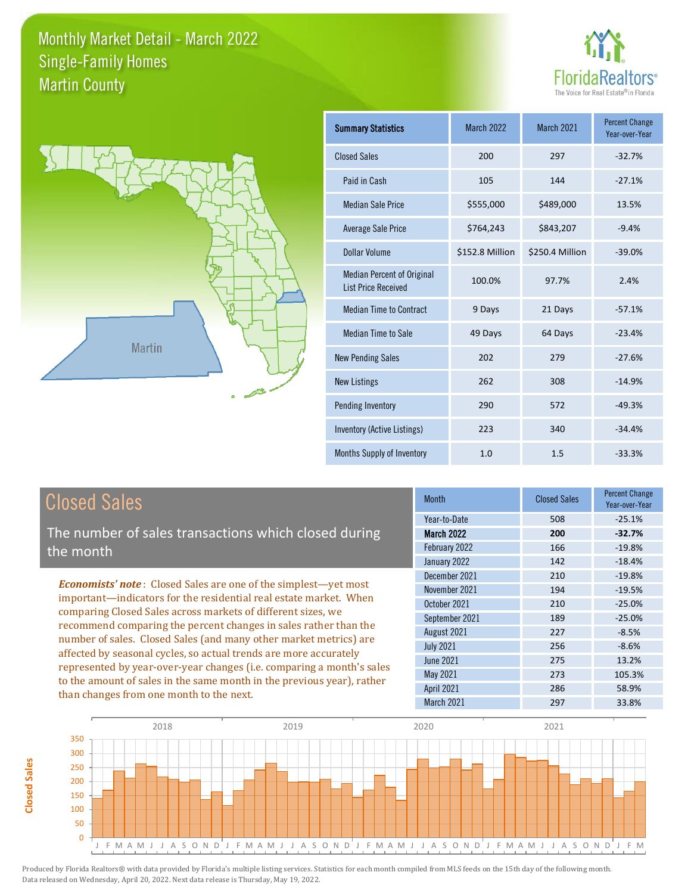



| <b>Summary Statistics</b>                                       | <b>March 2022</b> | March 2021      | <b>Percent Change</b><br>Year-over-Year |
|-----------------------------------------------------------------|-------------------|-----------------|-----------------------------------------|
| <b>Closed Sales</b>                                             | 200               | 297             | $-32.7%$                                |
| Paid in Cash                                                    | 105               | 144             | $-27.1%$                                |
| <b>Median Sale Price</b>                                        | \$555,000         | \$489,000       | 13.5%                                   |
| Average Sale Price                                              | \$764,243         | \$843,207       | $-9.4%$                                 |
| <b>Dollar Volume</b>                                            | \$152.8 Million   | \$250.4 Million | $-39.0%$                                |
| <b>Median Percent of Original</b><br><b>List Price Received</b> | 100.0%            | 97.7%           | 2.4%                                    |
| <b>Median Time to Contract</b>                                  | 9 Days            | 21 Days         | $-57.1%$                                |
| Median Time to Sale                                             | 49 Days           | 64 Days         | $-23.4%$                                |
| <b>New Pending Sales</b>                                        | 202               | 279             | $-27.6%$                                |
| <b>New Listings</b>                                             | 262               | 308             | $-14.9%$                                |
| Pending Inventory                                               | 290               | 572             | $-49.3%$                                |
| <b>Inventory (Active Listings)</b>                              | 223               | 340             | $-34.4%$                                |
| Months Supply of Inventory                                      | 1.0               | 1.5             | $-33.3%$                                |

**Closed Sales**

**Closed Sales** 

The number of sales transactions which closed during the month

*Economists' note* : Closed Sales are one of the simplest—yet most important—indicators for the residential real estate market. When comparing Closed Sales across markets of different sizes, we recommend comparing the percent changes in sales rather than the number of sales. Closed Sales (and many other market metrics) are affected by seasonal cycles, so actual trends are more accurately represented by year-over-year changes (i.e. comparing a month's sales to the amount of sales in the same month in the previous year), rather than changes from one month to the next.

| <b>Month</b>      | <b>Closed Sales</b> | <b>Percent Change</b><br>Year-over-Year |
|-------------------|---------------------|-----------------------------------------|
| Year-to-Date      | 508                 | $-25.1%$                                |
| <b>March 2022</b> | 200                 | $-32.7%$                                |
| February 2022     | 166                 | $-19.8%$                                |
| January 2022      | 142                 | $-18.4%$                                |
| December 2021     | 210                 | $-19.8%$                                |
| November 2021     | 194                 | $-19.5%$                                |
| October 2021      | 210                 | $-25.0%$                                |
| September 2021    | 189                 | $-25.0%$                                |
| August 2021       | 227                 | $-8.5%$                                 |
| <b>July 2021</b>  | 256                 | $-8.6%$                                 |
| June 2021         | 275                 | 13.2%                                   |
| May 2021          | 273                 | 105.3%                                  |
| <b>April 2021</b> | 286                 | 58.9%                                   |
| March 2021        | 297                 | 33.8%                                   |
|                   |                     |                                         |

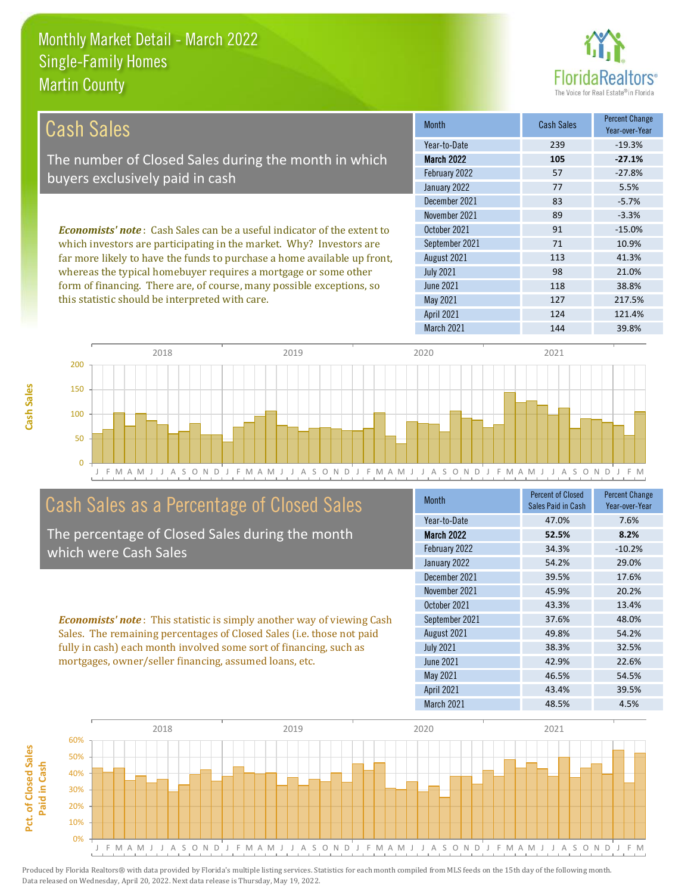

| Cash Sales                                                                                                                                                                                                                                                                                                                                                                                                                       | <b>Month</b>      | <b>Cash Sales</b> | <b>Percent Change</b><br>Year-over-Year |
|----------------------------------------------------------------------------------------------------------------------------------------------------------------------------------------------------------------------------------------------------------------------------------------------------------------------------------------------------------------------------------------------------------------------------------|-------------------|-------------------|-----------------------------------------|
|                                                                                                                                                                                                                                                                                                                                                                                                                                  | Year-to-Date      | 239               | $-19.3%$                                |
| The number of Closed Sales during the month in which                                                                                                                                                                                                                                                                                                                                                                             | <b>March 2022</b> | 105               | $-27.1%$                                |
| buyers exclusively paid in cash                                                                                                                                                                                                                                                                                                                                                                                                  | February 2022     | 57                | $-27.8%$                                |
|                                                                                                                                                                                                                                                                                                                                                                                                                                  | January 2022      | 77                | 5.5%                                    |
|                                                                                                                                                                                                                                                                                                                                                                                                                                  | December 2021     | 83                | $-5.7%$                                 |
|                                                                                                                                                                                                                                                                                                                                                                                                                                  | November 2021     | 89                | $-3.3%$                                 |
| <b>Economists' note:</b> Cash Sales can be a useful indicator of the extent to<br>which investors are participating in the market. Why? Investors are<br>far more likely to have the funds to purchase a home available up front,<br>whereas the typical homebuyer requires a mortgage or some other<br>form of financing. There are, of course, many possible exceptions, so<br>this statistic should be interpreted with care. | October 2021      | 91                | $-15.0%$                                |
|                                                                                                                                                                                                                                                                                                                                                                                                                                  | September 2021    | 71                | 10.9%                                   |
|                                                                                                                                                                                                                                                                                                                                                                                                                                  | August 2021       | 113               | 41.3%                                   |
|                                                                                                                                                                                                                                                                                                                                                                                                                                  | <b>July 2021</b>  | 98                | 21.0%                                   |
|                                                                                                                                                                                                                                                                                                                                                                                                                                  | June 2021         | 118               | 38.8%                                   |
|                                                                                                                                                                                                                                                                                                                                                                                                                                  | May 2021          | 127               | 217.5%                                  |
|                                                                                                                                                                                                                                                                                                                                                                                                                                  | <b>April 2021</b> | 124               | 121.4%                                  |





## Cash Sales as a Percentage of Closed Sales

The percentage of Closed Sales during the month which were Cash Sales

*Economists' note* : This statistic is simply another way of viewing Cash Sales. The remaining percentages of Closed Sales (i.e. those not paid fully in cash) each month involved some sort of financing, such as mortgages, owner/seller financing, assumed loans, etc.

| <b>Month</b>      | <b>Percent of Closed</b><br>Sales Paid in Cash | <b>Percent Change</b><br>Year-over-Year |
|-------------------|------------------------------------------------|-----------------------------------------|
| Year-to-Date      | 47.0%                                          | 7.6%                                    |
| <b>March 2022</b> | 52.5%                                          | 8.2%                                    |
| February 2022     | 34.3%                                          | $-10.2%$                                |
| January 2022      | 54.2%                                          | 29.0%                                   |
| December 2021     | 39.5%                                          | 17.6%                                   |
| November 2021     | 45.9%                                          | 20.2%                                   |
| October 2021      | 43.3%                                          | 13.4%                                   |
| September 2021    | 37.6%                                          | 48.0%                                   |
| August 2021       | 49.8%                                          | 54.2%                                   |
| <b>July 2021</b>  | 38.3%                                          | 32.5%                                   |
| June 2021         | 42.9%                                          | 22.6%                                   |
| May 2021          | 46.5%                                          | 54.5%                                   |
| <b>April 2021</b> | 43.4%                                          | 39.5%                                   |
| March 2021        | 48.5%                                          | 4.5%                                    |

March 2021 144 39.8%

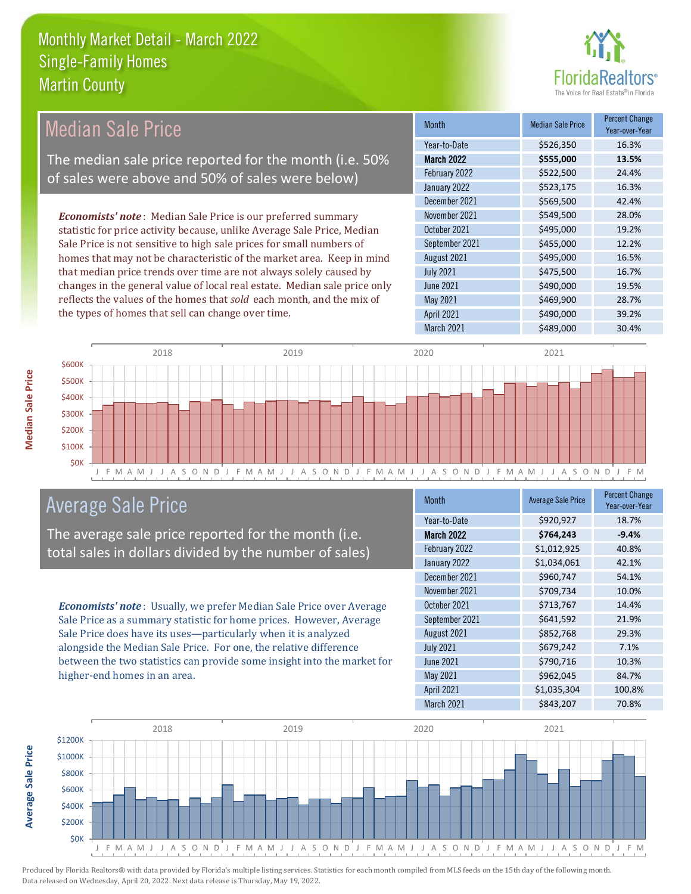

| <b>Median Sale Price</b>                                                  | <b>Month</b>      | <b>Median Sale Price</b> | <b>Percent Change</b><br>Year-over-Year |
|---------------------------------------------------------------------------|-------------------|--------------------------|-----------------------------------------|
|                                                                           | Year-to-Date      | \$526,350                | 16.3%                                   |
| The median sale price reported for the month (i.e. 50%                    | <b>March 2022</b> | \$555,000                | 13.5%                                   |
| of sales were above and 50% of sales were below)                          | February 2022     | \$522,500                | 24.4%                                   |
|                                                                           | January 2022      | \$523,175                | 16.3%                                   |
|                                                                           | December 2021     | \$569,500                | 42.4%                                   |
| <b>Economists' note:</b> Median Sale Price is our preferred summary       | November 2021     | \$549,500                | 28.0%                                   |
| statistic for price activity because, unlike Average Sale Price, Median   | October 2021      | \$495,000                | 19.2%                                   |
| Sale Price is not sensitive to high sale prices for small numbers of      | September 2021    | \$455,000                | 12.2%                                   |
| homes that may not be characteristic of the market area. Keep in mind     | August 2021       | \$495,000                | 16.5%                                   |
| that median price trends over time are not always solely caused by        | <b>July 2021</b>  | \$475,500                | 16.7%                                   |
| changes in the general value of local real estate. Median sale price only | <b>June 2021</b>  | \$490,000                | 19.5%                                   |
| reflects the values of the homes that sold each month, and the mix of     | May 2021          | \$469,900                | 28.7%                                   |
| the types of homes that sell can change over time.                        | <b>April 2021</b> | \$490,000                | 39.2%                                   |
|                                                                           | March 2021        | \$489,000                | 30.4%                                   |



#### Average Sale Price

The average sale price reported for the month (i.e. total sales in dollars divided by the number of sales)

*Economists' note* : Usually, we prefer Median Sale Price over Average Sale Price as a summary statistic for home prices. However, Average Sale Price does have its uses—particularly when it is analyzed alongside the Median Sale Price. For one, the relative difference between the two statistics can provide some insight into the market for higher-end homes in an area.

| <b>Month</b>      | <b>Average Sale Price</b> | <b>Percent Change</b><br>Year-over-Year |
|-------------------|---------------------------|-----------------------------------------|
| Year-to-Date      | \$920,927                 | 18.7%                                   |
| March 2022        | \$764,243                 | $-9.4%$                                 |
| February 2022     | \$1,012,925               | 40.8%                                   |
| January 2022      | \$1,034,061               | 42.1%                                   |
| December 2021     | \$960,747                 | 54.1%                                   |
| November 2021     | \$709,734                 | 10.0%                                   |
| October 2021      | \$713,767                 | 14.4%                                   |
| September 2021    | \$641,592                 | 21.9%                                   |
| August 2021       | \$852,768                 | 29.3%                                   |
| <b>July 2021</b>  | \$679,242                 | 7.1%                                    |
| June 2021         | \$790,716                 | 10.3%                                   |
| May 2021          | \$962,045                 | 84.7%                                   |
| <b>April 2021</b> | \$1,035,304               | 100.8%                                  |
| March 2021        | \$843,207                 | 70.8%                                   |



**Average Sale Price Average Sale Price**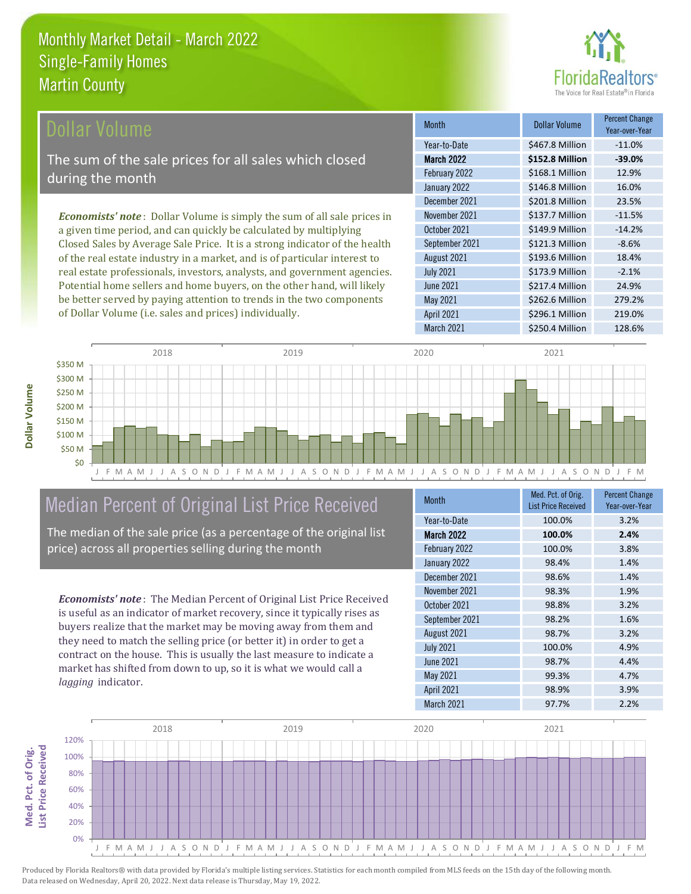

| Dollar Volume                                                                  | <b>Month</b>      | <b>Dollar Volume</b> | <b>Percent Change</b><br>Year-over-Year |
|--------------------------------------------------------------------------------|-------------------|----------------------|-----------------------------------------|
|                                                                                | Year-to-Date      | \$467.8 Million      | $-11.0%$                                |
| The sum of the sale prices for all sales which closed                          | <b>March 2022</b> | \$152.8 Million      | $-39.0%$                                |
| during the month                                                               | February 2022     | \$168.1 Million      | 12.9%                                   |
|                                                                                | January 2022      | \$146.8 Million      | 16.0%                                   |
|                                                                                | December 2021     | \$201.8 Million      | 23.5%                                   |
| <b>Economists' note:</b> Dollar Volume is simply the sum of all sale prices in | November 2021     | \$137.7 Million      | $-11.5%$                                |
| a given time period, and can quickly be calculated by multiplying              | October 2021      | \$149.9 Million      | $-14.2%$                                |
| Closed Sales by Average Sale Price. It is a strong indicator of the health     | September 2021    | \$121.3 Million      | $-8.6%$                                 |
| of the real estate industry in a market, and is of particular interest to      | August 2021       | \$193.6 Million      | 18.4%                                   |
| real estate professionals, investors, analysts, and government agencies.       | <b>July 2021</b>  | \$173.9 Million      | $-2.1%$                                 |
| Potential home sellers and home buyers, on the other hand, will likely         | <b>June 2021</b>  | \$217.4 Million      | 24.9%                                   |



#### Median Percent of Original List Price Received

be better served by paying attention to trends in the two components

of Dollar Volume (i.e. sales and prices) individually.

The median of the sale price (as a percentage of the original list price) across all properties selling during the month

*Economists' note* : The Median Percent of Original List Price Received is useful as an indicator of market recovery, since it typically rises as buyers realize that the market may be moving away from them and they need to match the selling price (or better it) in order to get a contract on the house. This is usually the last measure to indicate a market has shifted from down to up, so it is what we would call a *lagging* indicator.

| <b>Month</b>      | Med. Pct. of Orig.<br><b>List Price Received</b> | <b>Percent Change</b><br>Year-over-Year |
|-------------------|--------------------------------------------------|-----------------------------------------|
| Year-to-Date      | 100.0%                                           | 3.2%                                    |
| <b>March 2022</b> | 100.0%                                           | 2.4%                                    |
| February 2022     | 100.0%                                           | 3.8%                                    |
| January 2022      | 98.4%                                            | 1.4%                                    |
| December 2021     | 98.6%                                            | 1.4%                                    |
| November 2021     | 98.3%                                            | 1.9%                                    |
| October 2021      | 98.8%                                            | 3.2%                                    |
| September 2021    | 98.2%                                            | 1.6%                                    |
| August 2021       | 98.7%                                            | 3.2%                                    |
| <b>July 2021</b>  | 100.0%                                           | 4.9%                                    |
| <b>June 2021</b>  | 98.7%                                            | 4.4%                                    |
| May 2021          | 99.3%                                            | 4.7%                                    |
| <b>April 2021</b> | 98.9%                                            | 3.9%                                    |
| March 2021        | 97.7%                                            | 2.2%                                    |

March 2021 **\$250.4 Million** 128.6%

April 2021 \$296.1 Million 219.0%

\$262.6 Million 279.2%

May 2021



**Med. Pct. of Orig.** 

Med. Pct. of Orig.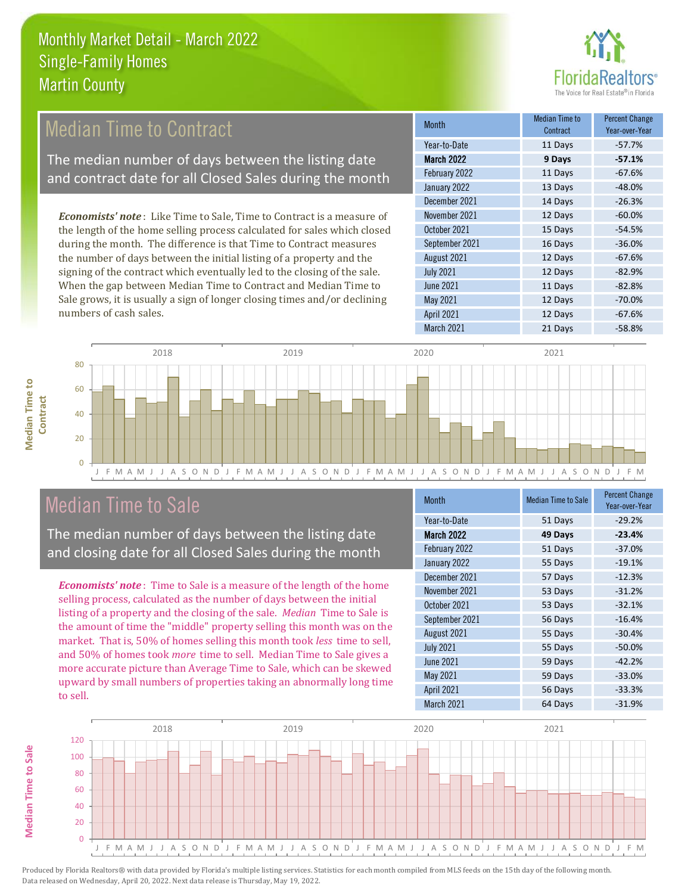

#### 13 Days -48.0% December 2021 **14 Days** -26.3% Month Median Time to Contract Percent Change Year-over-Year March 2022 **9 Days -57.1%** Year-to-Date 11 Days -57.7% February 2022 **11 Days** -67.6% January 2022 September 2021 16 Days -36.0% November 2021 12 Days -60.0% October 2021 **15 Days** -54.5% *Economists' note* : Like Time to Sale, Time to Contract is a measure of the length of the home selling process calculated for sales which closed during the month. The difference is that Time to Contract measures Median Time to Contract The median number of days between the listing date and contract date for all Closed Sales during the month

the number of days between the initial listing of a property and the signing of the contract which eventually led to the closing of the sale. When the gap between Median Time to Contract and Median Time to Sale grows, it is usually a sign of longer closing times and/or declining numbers of cash sales.

|                   | <b>UUIILI dUL</b> | 1 041 - 070 - 1041 |
|-------------------|-------------------|--------------------|
| Year-to-Date      | 11 Days           | $-57.7%$           |
| <b>March 2022</b> | 9 Days            | $-57.1%$           |
| February 2022     | 11 Days           | $-67.6%$           |
| January 2022      | 13 Days           | $-48.0%$           |
| December 2021     | 14 Days           | $-26.3%$           |
| November 2021     | 12 Days           | $-60.0%$           |
| October 2021      | 15 Days           | $-54.5%$           |
| September 2021    | 16 Days           | $-36.0%$           |
| August 2021       | 12 Days           | $-67.6%$           |
| <b>July 2021</b>  | 12 Days           | $-82.9%$           |
| <b>June 2021</b>  | 11 Days           | $-82.8%$           |
| May 2021          | 12 Days           | $-70.0%$           |
| April 2021        | 12 Days           | $-67.6%$           |
| March 2021        | 21 Days           | $-58.8%$           |



#### Median Time to Sale

The median number of days between the listing date and closing date for all Closed Sales during the month

*Economists' note* : Time to Sale is a measure of the length of the home selling process, calculated as the number of days between the initial listing of a property and the closing of the sale. *Median* Time to Sale is the amount of time the "middle" property selling this month was on the market. That is, 50% of homes selling this month took *less* time to sell, and 50% of homes took *more* time to sell. Median Time to Sale gives a more accurate picture than Average Time to Sale, which can be skewed upward by small numbers of properties taking an abnormally long time to sell.

| <b>Month</b>      | <b>Median Time to Sale</b> | <b>Percent Change</b><br>Year-over-Year |
|-------------------|----------------------------|-----------------------------------------|
| Year-to-Date      | 51 Days                    | $-29.2%$                                |
| <b>March 2022</b> | 49 Days                    | $-23.4%$                                |
| February 2022     | 51 Days                    | $-37.0%$                                |
| January 2022      | 55 Days                    | $-19.1%$                                |
| December 2021     | 57 Days                    | $-12.3%$                                |
| November 2021     | 53 Days                    | $-31.2%$                                |
| October 2021      | 53 Days                    | $-32.1%$                                |
| September 2021    | 56 Days                    | $-16.4%$                                |
| August 2021       | 55 Days                    | $-30.4%$                                |
| <b>July 2021</b>  | 55 Days                    | $-50.0%$                                |
| <b>June 2021</b>  | 59 Days                    | $-42.2%$                                |
| <b>May 2021</b>   | 59 Days                    | $-33.0%$                                |
| <b>April 2021</b> | 56 Days                    | $-33.3%$                                |
| March 2021        | 64 Days                    | $-31.9%$                                |



**Median Time to** 

**Median Time to**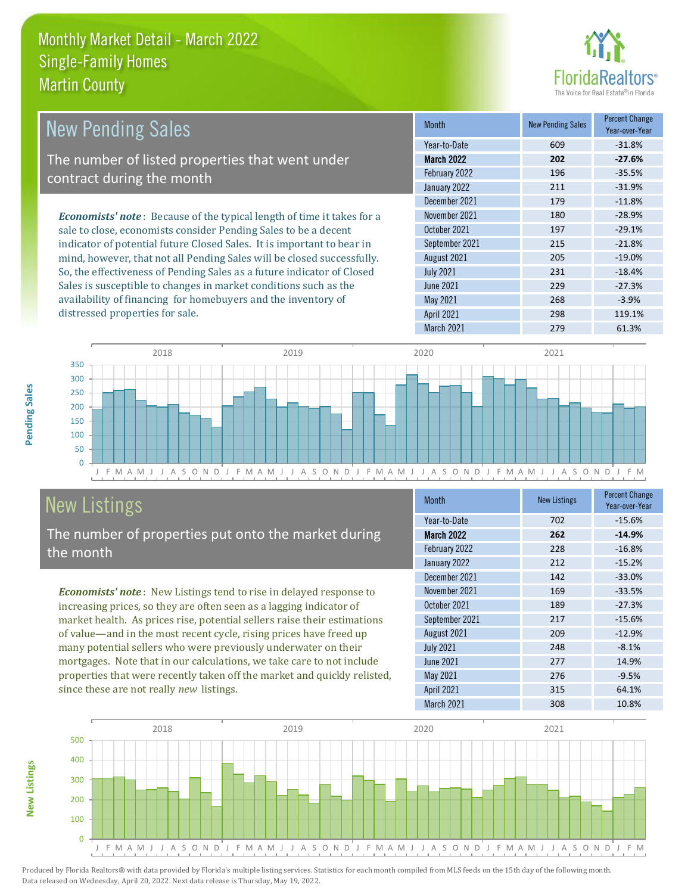

| <b>New Pending Sales</b>                                                      | <b>Month</b>     | <b>New Pending Sales</b> | <b>Percent Change</b><br>Year-over-Year |
|-------------------------------------------------------------------------------|------------------|--------------------------|-----------------------------------------|
|                                                                               | Year-to-Date     | 609                      | $-31.8%$                                |
| The number of listed properties that went under                               | March 2022       | 202                      | $-27.6%$                                |
| contract during the month                                                     | February 2022    | 196                      | $-35.5%$                                |
|                                                                               | January 2022     | 211                      | $-31.9%$                                |
|                                                                               | December 2021    | 179                      | $-11.8%$                                |
| <b>Economists' note:</b> Because of the typical length of time it takes for a | November 2021    | 180                      | $-28.9%$                                |
| sale to close, economists consider Pending Sales to be a decent               | October 2021     | 197                      | $-29.1%$                                |
| indicator of potential future Closed Sales. It is important to bear in        | September 2021   | 215                      | $-21.8%$                                |
| mind, however, that not all Pending Sales will be closed successfully.        | August 2021      | 205                      | $-19.0%$                                |
| So, the effectiveness of Pending Sales as a future indicator of Closed        | <b>July 2021</b> | 231                      | $-18.4%$                                |
| Sales is susceptible to changes in market conditions such as the              | <b>June 2021</b> | 229                      | $-27.3%$                                |
| availability of financing for homebuyers and the inventory of                 | May 2021         | 268                      | $-3.9%$                                 |



## New Listings

distressed properties for sale.

The number of properties put onto the market during the month

*Economists' note* : New Listings tend to rise in delayed response to increasing prices, so they are often seen as a lagging indicator of market health. As prices rise, potential sellers raise their estimations of value—and in the most recent cycle, rising prices have freed up many potential sellers who were previously underwater on their mortgages. Note that in our calculations, we take care to not include properties that were recently taken off the market and quickly relisted, since these are not really *new* listings.

| <b>Month</b>      | <b>New Listings</b> | <b>Percent Change</b><br>Year-over-Year |  |
|-------------------|---------------------|-----------------------------------------|--|
| Year-to-Date      | 702                 | $-15.6%$                                |  |
| <b>March 2022</b> | 262                 | $-14.9%$                                |  |
| February 2022     | 228                 | $-16.8%$                                |  |
| January 2022      | 212                 | $-15.2%$                                |  |
| December 2021     | 142                 | $-33.0%$                                |  |
| November 2021     | 169                 | $-33.5%$                                |  |
| October 2021      | 189                 | $-27.3%$                                |  |
| September 2021    | 217                 | $-15.6%$                                |  |
| August 2021       | 209                 | $-12.9%$                                |  |
| <b>July 2021</b>  | 248                 | $-8.1%$                                 |  |
| June 2021         | 277                 | 14.9%                                   |  |
| May 2021          | 276                 | $-9.5%$                                 |  |
| <b>April 2021</b> | 315                 | 64.1%                                   |  |
| March 2021        | 308                 | 10.8%                                   |  |

April 2021 298 298 119.1% March 2021 279 61.3%



**New Listings**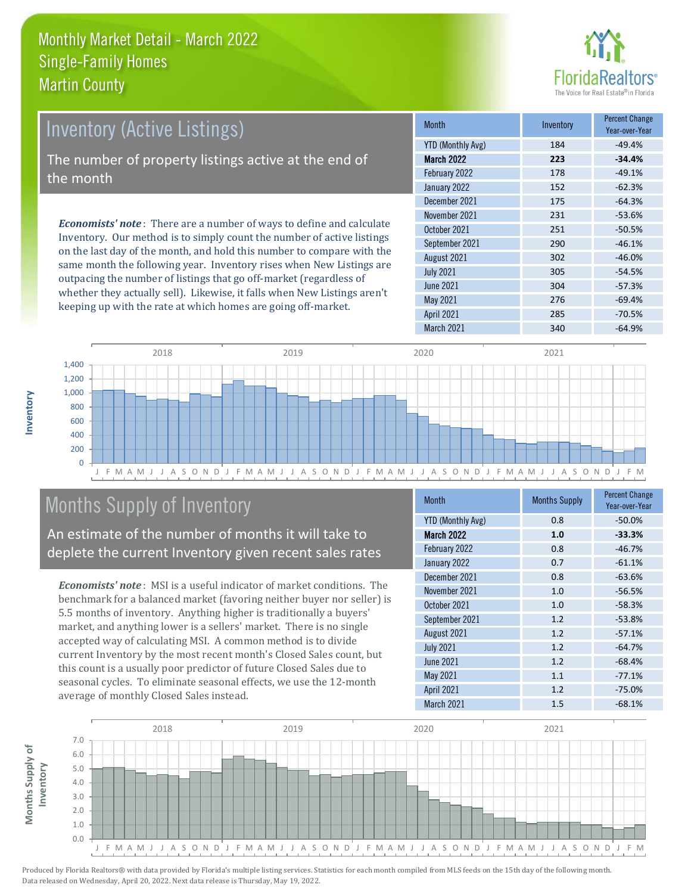

| <b>Inventory (Active Listings)</b>                                                                                                                     | <b>Month</b>      | Inventory | <b>Percent Change</b><br>Year-over-Year |
|--------------------------------------------------------------------------------------------------------------------------------------------------------|-------------------|-----------|-----------------------------------------|
|                                                                                                                                                        | YTD (Monthly Avg) | 184       | $-49.4%$                                |
| The number of property listings active at the end of                                                                                                   | <b>March 2022</b> | 223       | $-34.4%$                                |
| the month                                                                                                                                              | February 2022     | 178       | $-49.1%$                                |
|                                                                                                                                                        | January 2022      | 152       | $-62.3%$                                |
|                                                                                                                                                        | December 2021     | 175       | $-64.3%$                                |
|                                                                                                                                                        | November 2021     | 231       | $-53.6%$                                |
| <b>Economists' note</b> : There are a number of ways to define and calculate<br>Inventory. Our method is to simply count the number of active listings | October 2021      | 251       | $-50.5%$                                |
| on the last day of the month, and hold this number to compare with the                                                                                 | September 2021    | 290       | $-46.1%$                                |
|                                                                                                                                                        | 1.2.21001         | 202       | $AC$ $00$                               |

same month the following year. Inventory rises when New Listings are outpacing the number of listings that go off-market (regardless of whether they actually sell). Likewise, it falls when New Listings aren't keeping up with the rate at which homes are going off-market.

|                          |     | Year-over-Year |
|--------------------------|-----|----------------|
| <b>YTD (Monthly Avg)</b> | 184 | $-49.4%$       |
| <b>March 2022</b>        | 223 | $-34.4%$       |
| February 2022            | 178 | $-49.1%$       |
| January 2022             | 152 | $-62.3%$       |
| December 2021            | 175 | $-64.3%$       |
| November 2021            | 231 | $-53.6%$       |
| October 2021             | 251 | $-50.5%$       |
| September 2021           | 290 | $-46.1%$       |
| August 2021              | 302 | $-46.0%$       |
| <b>July 2021</b>         | 305 | $-54.5%$       |
| <b>June 2021</b>         | 304 | $-57.3%$       |
| May 2021                 | 276 | $-69.4%$       |
| <b>April 2021</b>        | 285 | $-70.5%$       |
| March 2021               | 340 | $-64.9%$       |



#### Months Supply of Inventory

An estimate of the number of months it will take to deplete the current Inventory given recent sales rates

*Economists' note* : MSI is a useful indicator of market conditions. The benchmark for a balanced market (favoring neither buyer nor seller) is 5.5 months of inventory. Anything higher is traditionally a buyers' market, and anything lower is a sellers' market. There is no single accepted way of calculating MSI. A common method is to divide current Inventory by the most recent month's Closed Sales count, but this count is a usually poor predictor of future Closed Sales due to seasonal cycles. To eliminate seasonal effects, we use the 12-month average of monthly Closed Sales instead.

| <b>Month</b>             | <b>Months Supply</b> | <b>Percent Change</b><br>Year-over-Year |  |
|--------------------------|----------------------|-----------------------------------------|--|
| <b>YTD (Monthly Avg)</b> | 0.8                  | $-50.0%$                                |  |
| <b>March 2022</b>        | 1.0                  | $-33.3%$                                |  |
| February 2022            | 0.8                  | $-46.7%$                                |  |
| January 2022             | 0.7                  | $-61.1%$                                |  |
| December 2021            | 0.8                  | $-63.6%$                                |  |
| November 2021            | 1.0                  | $-56.5%$                                |  |
| October 2021             | 1.0                  | $-58.3%$                                |  |
| September 2021           | 1.2                  | $-53.8%$                                |  |
| August 2021              | 1.2                  | $-57.1%$                                |  |
| <b>July 2021</b>         | 1.2                  | $-64.7%$                                |  |
| <b>June 2021</b>         | 1.2                  | $-68.4%$                                |  |
| <b>May 2021</b>          | 1.1                  | $-77.1%$                                |  |
| April 2021               | 1.2                  | $-75.0%$                                |  |
| March 2021               | 1.5                  | $-68.1%$                                |  |



Produced by Florida Realtors® with data provided by Florida's multiple listing services. Statistics for each month compiled from MLS feeds on the 15th day of the following month. Data released on Wednesday, April 20, 2022. Next data release is Thursday, May 19, 2022.

**Months Supply of** 

Months Supply of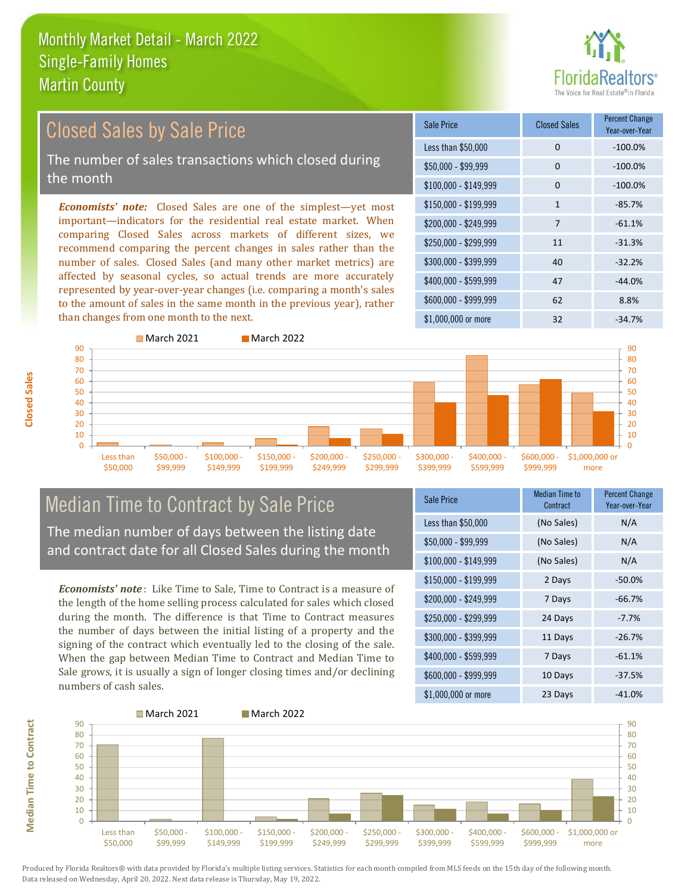

#### Closed Sales by Sale Price

The number of sales transactions which closed during the month

*Economists' note:* Closed Sales are one of the simplest—yet most important—indicators for the residential real estate market. When comparing Closed Sales across markets of different sizes, we recommend comparing the percent changes in sales rather than the number of sales. Closed Sales (and many other market metrics) are affected by seasonal cycles, so actual trends are more accurately represented by year-over-year changes (i.e. comparing a month's sales to the amount of sales in the same month in the previous year), rather than changes from one month to the next.

| Sale Price            | <b>Closed Sales</b> | <b>Percent Change</b><br>Year-over-Year |
|-----------------------|---------------------|-----------------------------------------|
| Less than \$50,000    | 0                   | $-100.0%$                               |
| \$50,000 - \$99,999   | 0                   | $-100.0%$                               |
| $$100,000 - $149,999$ | 0                   | $-100.0%$                               |
| $$150,000 - $199,999$ | $\mathbf{1}$        | $-85.7%$                                |
| \$200,000 - \$249,999 | 7                   | $-61.1%$                                |
| \$250,000 - \$299,999 | 11                  | $-31.3%$                                |
| \$300,000 - \$399,999 | 40                  | $-32.2%$                                |
| \$400,000 - \$599,999 | 47                  | $-44.0%$                                |
| \$600,000 - \$999,999 | 62                  | 8.8%                                    |
| $$1,000,000$ or more  | 32                  | $-34.7%$                                |



# Median Time to Contract by Sale Price

The median number of days between the listing date and contract date for all Closed Sales during the month

*Economists' note* : Like Time to Sale, Time to Contract is a measure of the length of the home selling process calculated for sales which closed during the month. The difference is that Time to Contract measures the number of days between the initial listing of a property and the signing of the contract which eventually led to the closing of the sale. When the gap between Median Time to Contract and Median Time to Sale grows, it is usually a sign of longer closing times and/or declining numbers of cash sales.

| Sale Price            | <b>Median Time to</b><br>Contract | <b>Percent Change</b><br>Year-over-Year |
|-----------------------|-----------------------------------|-----------------------------------------|
| Less than \$50,000    | (No Sales)                        | N/A                                     |
| $$50,000 - $99,999$   | (No Sales)                        | N/A                                     |
| $$100,000 - $149,999$ | (No Sales)                        | N/A                                     |
| \$150,000 - \$199,999 | 2 Days                            | $-50.0%$                                |
| \$200,000 - \$249,999 | 7 Days                            | $-66.7%$                                |
| \$250,000 - \$299,999 | 24 Days                           | $-7.7%$                                 |
| \$300,000 - \$399,999 | 11 Days                           | $-26.7%$                                |
| \$400,000 - \$599,999 | 7 Days                            | $-61.1%$                                |
| \$600,000 - \$999,999 | 10 Days                           | $-37.5%$                                |
| \$1,000,000 or more   | 23 Days                           | $-41.0%$                                |



**Closed Sales**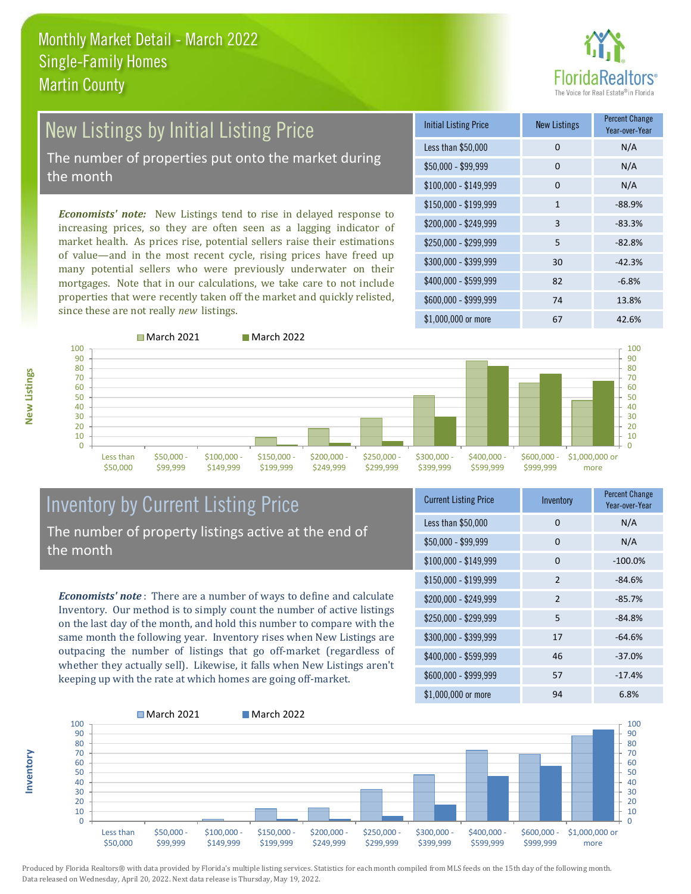# ealtors®

## New Listings by Initial Listing Price

The number of properties put onto the market during the month

*Economists' note:* New Listings tend to rise in delayed response to increasing prices, so they are often seen as a lagging indicator of market health. As prices rise, potential sellers raise their estimations of value—and in the most recent cycle, rising prices have freed up many potential sellers who were previously underwater on their mortgages. Note that in our calculations, we take care to not include properties that were recently taken off the market and quickly relisted, since these are not really *new* listings.

■ March 2021 March 2022





**Inventory**

| 100<br>90<br>80<br>70<br>60<br>50<br>40<br>30<br>20<br>10 |                       |                         |                           |                           |                           |                           |                           |                           |                           | 100<br>90<br>80<br>70<br>60<br>50<br>40<br>30<br>20<br>10 |
|-----------------------------------------------------------|-----------------------|-------------------------|---------------------------|---------------------------|---------------------------|---------------------------|---------------------------|---------------------------|---------------------------|-----------------------------------------------------------|
| 0                                                         | Less than<br>\$50,000 | $$50,000 -$<br>\$99,999 | $$100,000 -$<br>\$149,999 | $$150,000 -$<br>\$199,999 | $$200,000 -$<br>\$249,999 | $$250,000 -$<br>\$299,999 | $$300,000 -$<br>\$399,999 | $$400,000 -$<br>\$599,999 | $$600,000 -$<br>\$999,999 | $\Omega$<br>\$1,000,000 or<br>more                        |

#### Inventory by Current Listing Price The number of property listings active at the end of the month

*Economists' note* : There are a number of ways to define and calculate Inventory. Our method is to simply count the number of active listings on the last day of the month, and hold this number to compare with the same month the following year. Inventory rises when New Listings are outpacing the number of listings that go off-market (regardless of whether they actually sell). Likewise, it falls when New Listings aren't keeping up with the rate at which homes are going off-market.

| <b>Current Listing Price</b> | Inventory      | <b>Percent Change</b><br>Year-over-Year |
|------------------------------|----------------|-----------------------------------------|
| Less than \$50,000           | 0              | N/A                                     |
| $$50,000 - $99,999$          | 0              | N/A                                     |
| \$100,000 - \$149,999        | $\Omega$       | $-100.0%$                               |
| $$150,000 - $199,999$        | 2              | $-84.6%$                                |
| \$200,000 - \$249,999        | $\mathfrak{p}$ | $-85.7%$                                |
| \$250,000 - \$299,999        | 5              | $-84.8%$                                |
| \$300,000 - \$399,999        | 17             | $-64.6%$                                |
| \$400,000 - \$599,999        | 46             | $-37.0%$                                |
| \$600,000 - \$999,999        | 57             | $-17.4%$                                |
| $$1,000,000$ or more         | 94             | 6.8%                                    |